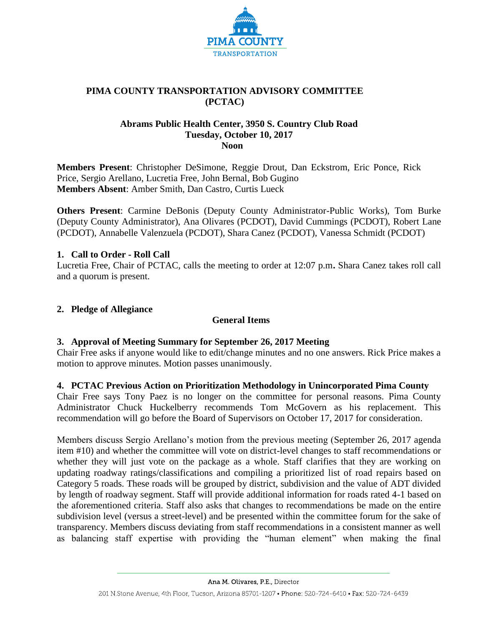

# **PIMA COUNTY TRANSPORTATION ADVISORY COMMITTEE (PCTAC)**

# **Abrams Public Health Center, 3950 S. Country Club Road Tuesday, October 10, 2017 Noon**

**Members Present**: Christopher DeSimone, Reggie Drout, Dan Eckstrom, Eric Ponce, Rick Price, Sergio Arellano, Lucretia Free, John Bernal, Bob Gugino **Members Absent**: Amber Smith, Dan Castro, Curtis Lueck

**Others Present**: Carmine DeBonis (Deputy County Administrator-Public Works), Tom Burke (Deputy County Administrator), Ana Olivares (PCDOT), David Cummings (PCDOT), Robert Lane (PCDOT), Annabelle Valenzuela (PCDOT), Shara Canez (PCDOT), Vanessa Schmidt (PCDOT)

# **1. Call to Order - Roll Call**

Lucretia Free, Chair of PCTAC, calls the meeting to order at 12:07 p.m**.** Shara Canez takes roll call and a quorum is present.

# **2. Pledge of Allegiance**

# **General Items**

# **3. Approval of Meeting Summary for September 26, 2017 Meeting**

Chair Free asks if anyone would like to edit/change minutes and no one answers. Rick Price makes a motion to approve minutes. Motion passes unanimously.

# **4. PCTAC Previous Action on Prioritization Methodology in Unincorporated Pima County**

Chair Free says Tony Paez is no longer on the committee for personal reasons. Pima County Administrator Chuck Huckelberry recommends Tom McGovern as his replacement. This recommendation will go before the Board of Supervisors on October 17, 2017 for consideration.

Members discuss Sergio Arellano's motion from the previous meeting (September 26, 2017 agenda item #10) and whether the committee will vote on district-level changes to staff recommendations or whether they will just vote on the package as a whole. Staff clarifies that they are working on updating roadway ratings/classifications and compiling a prioritized list of road repairs based on Category 5 roads. These roads will be grouped by district, subdivision and the value of ADT divided by length of roadway segment. Staff will provide additional information for roads rated 4-1 based on the aforementioned criteria. Staff also asks that changes to recommendations be made on the entire subdivision level (versus a street-level) and be presented within the committee forum for the sake of transparency. Members discuss deviating from staff recommendations in a consistent manner as well as balancing staff expertise with providing the "human element" when making the final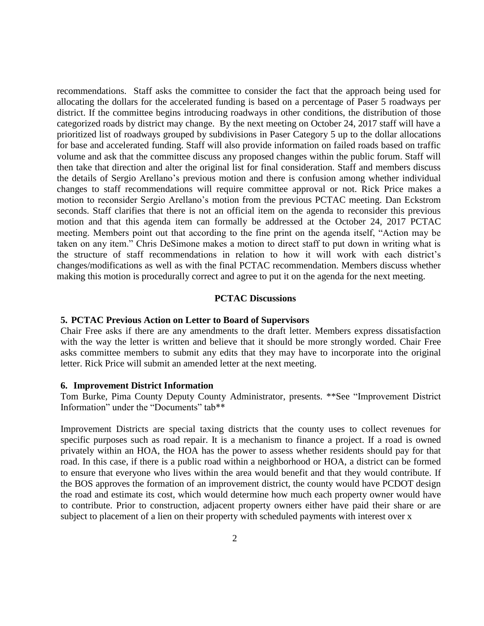recommendations. Staff asks the committee to consider the fact that the approach being used for allocating the dollars for the accelerated funding is based on a percentage of Paser 5 roadways per district. If the committee begins introducing roadways in other conditions, the distribution of those categorized roads by district may change. By the next meeting on October 24, 2017 staff will have a prioritized list of roadways grouped by subdivisions in Paser Category 5 up to the dollar allocations for base and accelerated funding. Staff will also provide information on failed roads based on traffic volume and ask that the committee discuss any proposed changes within the public forum. Staff will then take that direction and alter the original list for final consideration. Staff and members discuss the details of Sergio Arellano's previous motion and there is confusion among whether individual changes to staff recommendations will require committee approval or not. Rick Price makes a motion to reconsider Sergio Arellano's motion from the previous PCTAC meeting. Dan Eckstrom seconds. Staff clarifies that there is not an official item on the agenda to reconsider this previous motion and that this agenda item can formally be addressed at the October 24, 2017 PCTAC meeting. Members point out that according to the fine print on the agenda itself, "Action may be taken on any item." Chris DeSimone makes a motion to direct staff to put down in writing what is the structure of staff recommendations in relation to how it will work with each district's changes/modifications as well as with the final PCTAC recommendation. Members discuss whether making this motion is procedurally correct and agree to put it on the agenda for the next meeting.

#### **PCTAC Discussions**

#### **5. PCTAC Previous Action on Letter to Board of Supervisors**

Chair Free asks if there are any amendments to the draft letter. Members express dissatisfaction with the way the letter is written and believe that it should be more strongly worded. Chair Free asks committee members to submit any edits that they may have to incorporate into the original letter. Rick Price will submit an amended letter at the next meeting.

#### **6. Improvement District Information**

Tom Burke, Pima County Deputy County Administrator, presents. \*\*See "Improvement District Information" under the "Documents" tab\*\*

Improvement Districts are special taxing districts that the county uses to collect revenues for specific purposes such as road repair. It is a mechanism to finance a project. If a road is owned privately within an HOA, the HOA has the power to assess whether residents should pay for that road. In this case, if there is a public road within a neighborhood or HOA, a district can be formed to ensure that everyone who lives within the area would benefit and that they would contribute. If the BOS approves the formation of an improvement district, the county would have PCDOT design the road and estimate its cost, which would determine how much each property owner would have to contribute. Prior to construction, adjacent property owners either have paid their share or are subject to placement of a lien on their property with scheduled payments with interest over x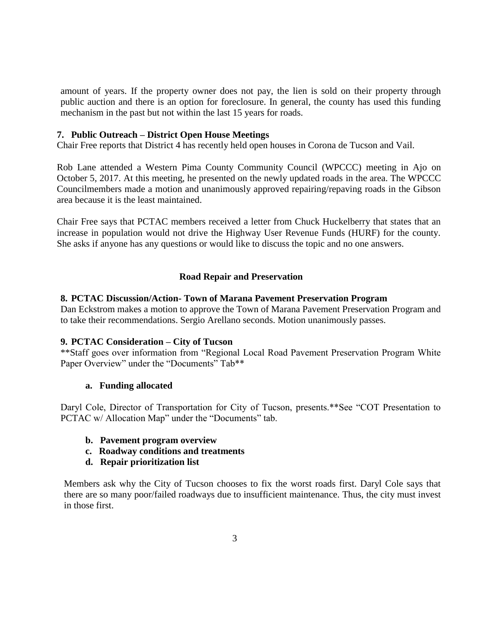amount of years. If the property owner does not pay, the lien is sold on their property through public auction and there is an option for foreclosure. In general, the county has used this funding mechanism in the past but not within the last 15 years for roads.

### **7. Public Outreach – District Open House Meetings**

Chair Free reports that District 4 has recently held open houses in Corona de Tucson and Vail.

Rob Lane attended a Western Pima County Community Council (WPCCC) meeting in Ajo on October 5, 2017. At this meeting, he presented on the newly updated roads in the area. The WPCCC Councilmembers made a motion and unanimously approved repairing/repaving roads in the Gibson area because it is the least maintained.

Chair Free says that PCTAC members received a letter from Chuck Huckelberry that states that an increase in population would not drive the Highway User Revenue Funds (HURF) for the county. She asks if anyone has any questions or would like to discuss the topic and no one answers.

# **Road Repair and Preservation**

### **8. PCTAC Discussion/Action- Town of Marana Pavement Preservation Program**

Dan Eckstrom makes a motion to approve the Town of Marana Pavement Preservation Program and to take their recommendations. Sergio Arellano seconds. Motion unanimously passes.

### **9. PCTAC Consideration – City of Tucson**

\*\*Staff goes over information from "Regional Local Road Pavement Preservation Program White Paper Overview" under the "Documents" Tab\*\*

### **a. Funding allocated**

Daryl Cole, Director of Transportation for City of Tucson, presents.\*\*See "COT Presentation to PCTAC w/ Allocation Map" under the "Documents" tab.

- **b. Pavement program overview**
- **c. Roadway conditions and treatments**
- **d. Repair prioritization list**

Members ask why the City of Tucson chooses to fix the worst roads first. Daryl Cole says that there are so many poor/failed roadways due to insufficient maintenance. Thus, the city must invest in those first.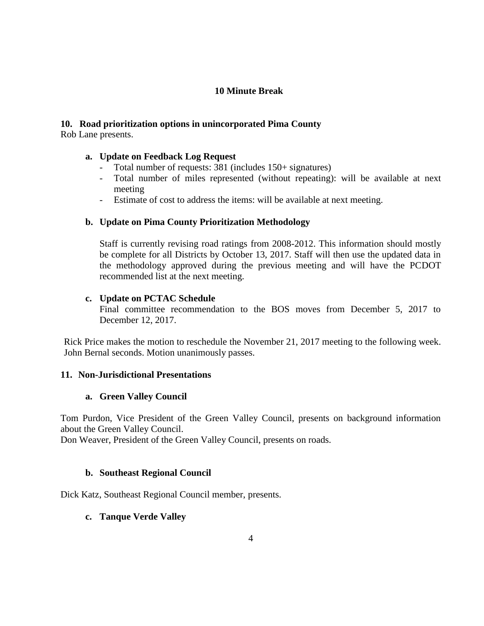# **10 Minute Break**

# **10. Road prioritization options in unincorporated Pima County**

Rob Lane presents.

# **a. Update on Feedback Log Request**

- Total number of requests: 381 (includes 150+ signatures)
- Total number of miles represented (without repeating): will be available at next meeting
- Estimate of cost to address the items: will be available at next meeting.

# **b. Update on Pima County Prioritization Methodology**

Staff is currently revising road ratings from 2008-2012. This information should mostly be complete for all Districts by October 13, 2017. Staff will then use the updated data in the methodology approved during the previous meeting and will have the PCDOT recommended list at the next meeting.

# **c. Update on PCTAC Schedule**

Final committee recommendation to the BOS moves from December 5, 2017 to December 12, 2017.

Rick Price makes the motion to reschedule the November 21, 2017 meeting to the following week. John Bernal seconds. Motion unanimously passes.

# **11. Non-Jurisdictional Presentations**

# **a. Green Valley Council**

Tom Purdon, Vice President of the Green Valley Council, presents on background information about the Green Valley Council.

Don Weaver, President of the Green Valley Council, presents on roads.

# **b. Southeast Regional Council**

Dick Katz, Southeast Regional Council member, presents.

# **c. Tanque Verde Valley**